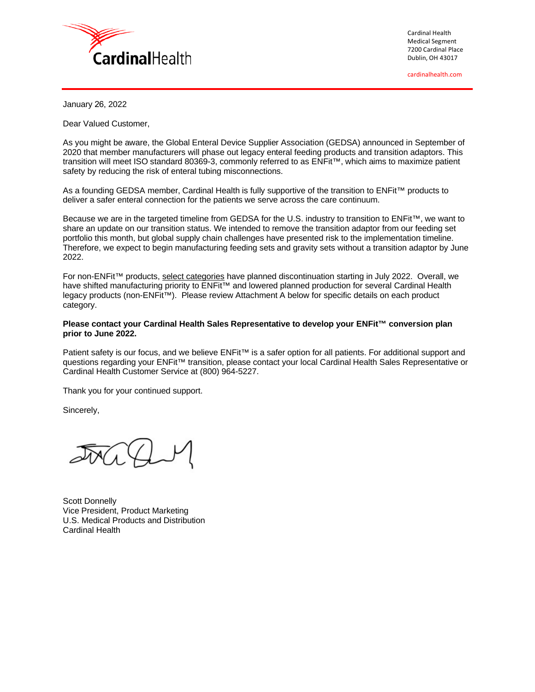

Cardinal Health Medical Segment 7200 Cardinal Place Dublin, OH 43017

cardinalhealth.com

January 26, 2022

Dear Valued Customer,

As you might be aware, the Global Enteral Device Supplier Association (GEDSA) announced in September of 2020 that member manufacturers will phase out legacy enteral feeding products and transition adaptors. This transition will meet ISO standard 80369-3, commonly referred to as ENFit™, which aims to maximize patient safety by reducing the risk of enteral tubing misconnections.

As a founding GEDSA member, Cardinal Health is fully supportive of the transition to ENFit™ products to deliver a safer enteral connection for the patients we serve across the care continuum.

Because we are in the targeted timeline from GEDSA for the U.S. industry to transition to ENFit™, we want to share an update on our transition status. We intended to remove the transition adaptor from our feeding set portfolio this month, but global supply chain challenges have presented risk to the implementation timeline. Therefore, we expect to begin manufacturing feeding sets and gravity sets without a transition adaptor by June 2022.

For non-ENFit™ products, select categories have planned discontinuation starting in July 2022. Overall, we have shifted manufacturing priority to ENFit™ and lowered planned production for several Cardinal Health legacy products (non-ENFit™). Please review Attachment A below for specific details on each product category.

### **Please contact your Cardinal Health Sales Representative to develop your ENFit™ conversion plan prior to June 2022.**

Patient safety is our focus, and we believe ENFit™ is a safer option for all patients. For additional support and questions regarding your ENFit™ transition, please contact your local Cardinal Health Sales Representative or Cardinal Health Customer Service at (800) 964-5227.

Thank you for your continued support.

Sincerely,

Scott Donnelly Vice President, Product Marketing U.S. Medical Products and Distribution Cardinal Health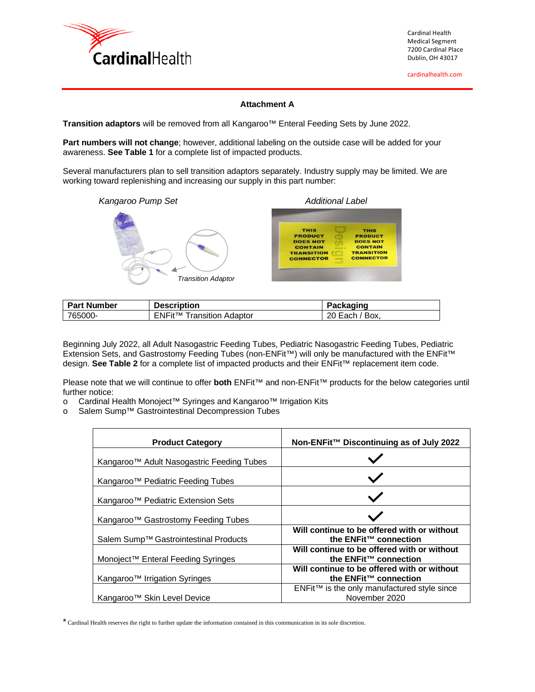

cardinalhealth.com

## **Attachment A**

**Transition adaptors** will be removed from all Kangaroo™ Enteral Feeding Sets by June 2022.

**Part numbers will not change**; however, additional labeling on the outside case will be added for your awareness. **See Table 1** for a complete list of impacted products.

Several manufacturers plan to sell transition adaptors separately. Industry supply may be limited. We are working toward replenishing and increasing our supply in this part number:



| <b>Part Number</b> | <b>Description</b>                          | Packaging                |
|--------------------|---------------------------------------------|--------------------------|
| 765000-            | <b>ENFit<sup>™</sup> Transition Adaptor</b> | $'$ Box.<br>20<br>, Each |

Beginning July 2022, all Adult Nasogastric Feeding Tubes, Pediatric Nasogastric Feeding Tubes, Pediatric Extension Sets, and Gastrostomy Feeding Tubes (non-ENFit™) will only be manufactured with the ENFit™ design. **See Table 2** for a complete list of impacted products and their ENFit™ replacement item code.

Please note that we will continue to offer **both** ENFit™ and non-ENFit™ products for the below categories until further notice:

- o Cardinal Health Monoject™ Syringes and Kangaroo<sup>™</sup> Irrigation Kits<br>o Salem Sump<sup>™</sup> Gastrointestinal Decompression Tubes
- Salem Sump™ Gastrointestinal Decompression Tubes

| <b>Product Category</b>                         | Non-ENFit™ Discontinuing as of July 2022                                         |
|-------------------------------------------------|----------------------------------------------------------------------------------|
| Kangaroo™ Adult Nasogastric Feeding Tubes       |                                                                                  |
| Kangaroo™ Pediatric Feeding Tubes               |                                                                                  |
| Kangaroo <sup>™</sup> Pediatric Extension Sets  |                                                                                  |
| Kangaroo <sup>™</sup> Gastrostomy Feeding Tubes |                                                                                  |
| Salem Sump™ Gastrointestinal Products           | Will continue to be offered with or without<br>the ENFit™ connection             |
| Monoject™ Enteral Feeding Syringes              | Will continue to be offered with or without<br>the ENFit <sup>™</sup> connection |
| Kangaroo <sup>™</sup> Irrigation Syringes       | Will continue to be offered with or without<br>the ENFit <sup>™</sup> connection |
| Kangaroo <sup>™</sup> Skin Level Device         | ENFit™ is the only manufactured style since<br>November 2020                     |

\* Cardinal Health reserves the right to further update the information contained in this communication in its sole discretion.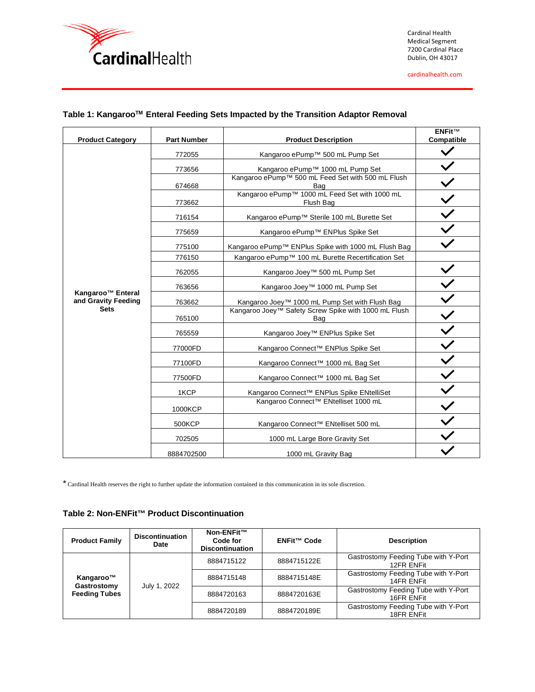

Cardinal Health Medical Segment 7200 Cardinal Place Dublin, OH 43017

cardinalhealth.com

| <b>Product Category</b>                                             | <b>Part Number</b> | <b>Product Description</b>                                  | <b>ENFit™</b><br>Compatible |
|---------------------------------------------------------------------|--------------------|-------------------------------------------------------------|-----------------------------|
|                                                                     | 772055             | Kangaroo ePump <sup>™</sup> 500 mL Pump Set                 |                             |
|                                                                     | 773656             | Kangaroo ePump <sup>™</sup> 1000 mL Pump Set                |                             |
|                                                                     | 674668             | Kangaroo ePump™ 500 mL Feed Set with 500 mL Flush<br>Bag    |                             |
|                                                                     | 773662             | Kangaroo ePump™ 1000 mL Feed Set with 1000 mL<br>Flush Bag  |                             |
|                                                                     | 716154             | Kangaroo ePump™ Sterile 100 mL Burette Set                  |                             |
|                                                                     | 775659             | Kangaroo ePump <sup>™</sup> ENPlus Spike Set                |                             |
|                                                                     | 775100             | Kangaroo ePump™ ENPlus Spike with 1000 mL Flush Bag         |                             |
|                                                                     | 776150             | Kangaroo ePump™ 100 mL Burette Recertification Set          |                             |
| Kangaroo <sup>™</sup> Enteral<br>and Gravity Feeding<br><b>Sets</b> | 762055             | Kangaroo Joey™ 500 mL Pump Set                              |                             |
|                                                                     | 763656             | Kangaroo Joey™ 1000 mL Pump Set                             |                             |
|                                                                     | 763662             | Kangaroo Joey™ 1000 mL Pump Set with Flush Bag              |                             |
|                                                                     | 765100             | Kangaroo Joey™ Safety Screw Spike with 1000 mL Flush<br>Bag |                             |
|                                                                     | 765559             | Kangaroo Joey™ ENPlus Spike Set                             |                             |
|                                                                     | 77000FD            | Kangaroo Connect™ ENPlus Spike Set                          |                             |
|                                                                     | 77100FD            | Kangaroo Connect™ 1000 mL Bag Set                           |                             |
|                                                                     | 77500FD            | Kangaroo Connect™ 1000 mL Bag Set                           |                             |
|                                                                     | 1KCP               | Kangaroo Connect™ ENPlus Spike ENtelliSet                   |                             |
|                                                                     | 1000KCP            | Kangaroo Connect™ ENtelliset 1000 mL                        |                             |
|                                                                     | 500KCP             | Kangaroo Connect™ ENtelliset 500 mL                         |                             |
|                                                                     | 702505             | 1000 mL Large Bore Gravity Set                              |                             |
|                                                                     | 8884702500         | 1000 mL Gravity Bag                                         |                             |

# **Table 1: KangarooTM Enteral Feeding Sets Impacted by the Transition Adaptor Removal**

\* Cardinal Health reserves the right to further update the information contained in this communication in its sole discretion.

# **Table 2: Non-ENFit™ Product Discontinuation**

| <b>Product Family</b>                            | <b>Discontinuation</b><br>Date | Non-ENFit™<br>Code for<br><b>Discontinuation</b> | ENFit <sup>™</sup> Code | <b>Description</b>                                 |
|--------------------------------------------------|--------------------------------|--------------------------------------------------|-------------------------|----------------------------------------------------|
| Kangaroo™<br>Gastrostomy<br><b>Feeding Tubes</b> | July 1, 2022                   | 8884715122                                       | 8884715122E             | Gastrostomy Feeding Tube with Y-Port<br>12FR ENFit |
|                                                  |                                | 8884715148                                       | 8884715148E             | Gastrostomy Feeding Tube with Y-Port<br>14FR ENFit |
|                                                  |                                | 8884720163                                       | 8884720163E             | Gastrostomy Feeding Tube with Y-Port<br>16FR ENFit |
|                                                  |                                | 8884720189                                       | 8884720189E             | Gastrostomy Feeding Tube with Y-Port<br>18FR ENFit |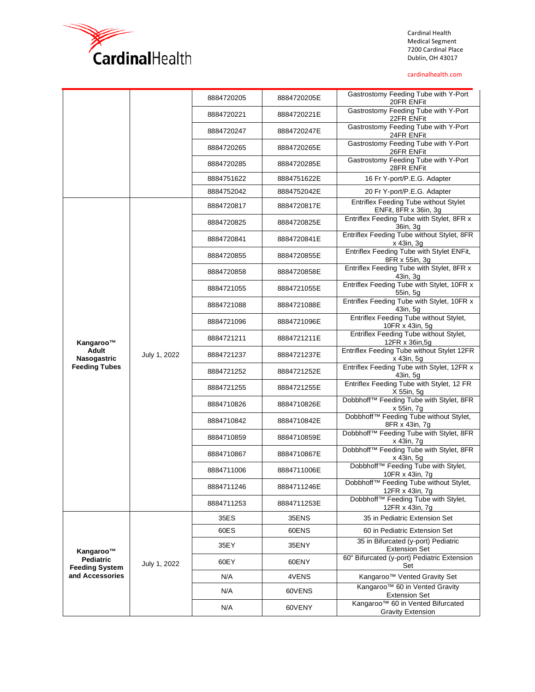

Cardinal Health Medical Segment 7200 Cardinal Place Dublin, OH 43017

#### cardinalhealth.com

|                                                 | 8884720205   | 8884720205E | Gastrostomy Feeding Tube with Y-Port<br>20FR ENFit |                                                                       |
|-------------------------------------------------|--------------|-------------|----------------------------------------------------|-----------------------------------------------------------------------|
|                                                 |              | 8884720221  | 8884720221E                                        | Gastrostomy Feeding Tube with Y-Port<br>22FR ENFit                    |
|                                                 |              | 8884720247  | 8884720247E                                        | Gastrostomy Feeding Tube with Y-Port<br>24FR ENFit                    |
|                                                 |              | 8884720265  | 8884720265E                                        | Gastrostomy Feeding Tube with Y-Port<br>26FR ENFit                    |
|                                                 |              | 8884720285  | 8884720285E                                        | Gastrostomy Feeding Tube with Y-Port<br>28FR ENFit                    |
|                                                 |              | 8884751622  | 8884751622E                                        | 16 Fr Y-port/P.E.G. Adapter                                           |
|                                                 |              | 8884752042  | 8884752042E                                        | 20 Fr Y-port/P.E.G. Adapter                                           |
|                                                 |              | 8884720817  | 8884720817E                                        | <b>Entriflex Feeding Tube without Stylet</b><br>ENFit, 8FR x 36in, 3g |
|                                                 |              | 8884720825  | 8884720825E                                        | Entriflex Feeding Tube with Stylet, 8FR x<br>36in, 3g                 |
|                                                 |              | 8884720841  | 8884720841E                                        | Entriflex Feeding Tube without Stylet, 8FR<br>x 43in, 3g              |
|                                                 |              | 8884720855  | 8884720855E                                        | Entriflex Feeding Tube with Stylet ENFit,<br>8FR x 55in, 3g           |
|                                                 |              | 8884720858  | 8884720858E                                        | Entriflex Feeding Tube with Stylet, 8FR x<br>43in, 3g                 |
| Kangaroo™<br><b>Adult</b><br>Nasogastric        | July 1, 2022 | 8884721055  | 8884721055E                                        | Entriflex Feeding Tube with Stylet, 10FR x<br>55in, 5g                |
|                                                 |              | 8884721088  | 8884721088E                                        | Entriflex Feeding Tube with Stylet, 10FR x<br>43in, 5g                |
|                                                 |              | 8884721096  | 8884721096E                                        | Entriflex Feeding Tube without Stylet,<br>10FR x 43in, 5g             |
|                                                 |              | 8884721211  | 8884721211E                                        | Entriflex Feeding Tube without Stylet,<br>12FR x 36in, 5g             |
|                                                 |              | 8884721237  | 8884721237E                                        | Entriflex Feeding Tube without Stylet 12FR<br>x 43in, 5g              |
| <b>Feeding Tubes</b>                            |              | 8884721252  | 8884721252E                                        | Entriflex Feeding Tube with Stylet, 12FR x<br>43in, 5g                |
|                                                 |              | 8884721255  | 8884721255E                                        | Entriflex Feeding Tube with Stylet, 12 FR<br>X 55in, 5g               |
|                                                 |              | 8884710826  | 8884710826E                                        | Dobbhoff™ Feeding Tube with Stylet, 8FR<br>x 55in, 7g                 |
|                                                 |              | 8884710842  | 8884710842E                                        | Dobbhoff™ Feeding Tube without Stylet,<br>8FR x 43in, 7g              |
|                                                 |              | 8884710859  | 8884710859E                                        | Dobbhoff™ Feeding Tube with Stylet, 8FR<br>x 43in, 7g                 |
|                                                 |              | 8884710867  | 8884710867E                                        | Dobbhoff™ Feeding Tube with Stylet, 8FR<br>x 43in, 5g                 |
|                                                 |              | 8884711006  | 8884711006E                                        | Dobbhoff™ Feeding Tube with Stylet,<br>10FR x 43in, 7g                |
|                                                 |              | 8884711246  | 8884711246E                                        | Dobbhoff™ Feeding Tube without Stylet,<br>12FR x 43in, 7g             |
|                                                 |              | 8884711253  | 8884711253E                                        | Dobbhoff™ Feeding Tube with Stylet,<br>12FR x 43in, 7g                |
|                                                 | July 1, 2022 | 35ES        | 35ENS                                              | 35 in Pediatric Extension Set                                         |
| Kangaroo™<br>Pediatric<br><b>Feeding System</b> |              | 60ES        | 60ENS                                              | 60 in Pediatric Extension Set                                         |
|                                                 |              | 35EY        | 35ENY                                              | 35 in Bifurcated (y-port) Pediatric<br><b>Extension Set</b>           |
|                                                 |              | 60EY        | 60ENY                                              | 60" Bifurcated (y-port) Pediatric Extension<br>Set                    |
| and Accessories                                 |              | N/A         | 4VENS                                              | Kangaroo <sup>™</sup> Vented Gravity Set                              |
|                                                 |              | N/A         | 60VENS                                             | Kangaroo™ 60 in Vented Gravity<br><b>Extension Set</b>                |
|                                                 |              | N/A         | 60VENY                                             | Kangaroo™ 60 in Vented Bifurcated<br><b>Gravity Extension</b>         |